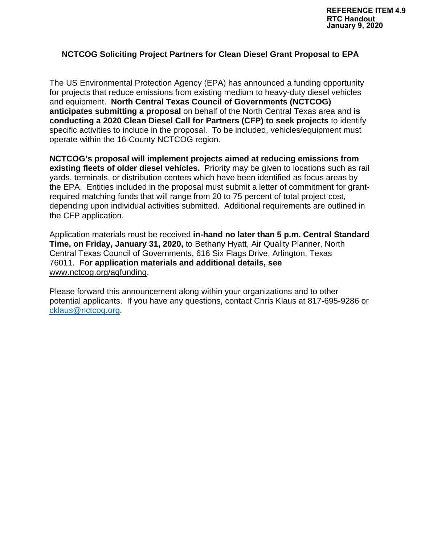#### **NCTCOG Soliciting Project Partners for Clean Diesel Grant Proposal to EPA**

The US Environmental Protection Agency (EPA) has announced a funding opportunity for projects that reduce emissions from existing medium to heavy-duty diesel vehicles and equipment. **North Central Texas Council of Governments (NCTCOG) anticipates submitting a proposal** on behalf of the North Central Texas area and **is conducting a 2020 Clean Diesel Call for Partners (CFP) to seek projects** to identify specific activities to include in the proposal. To be included, vehicles/equipment must operate within the 16-County NCTCOG region.

**NCTCOG's proposal will implement projects aimed at reducing emissions from existing fleets of older diesel vehicles.** Priority may be given to locations such as rail yards, terminals, or distribution centers which have been identified as focus areas by the EPA. Entities included in the proposal must submit a letter of commitment for grantrequired matching funds that will range from 20 to 75 percent of total project cost, depending upon individual activities submitted. Additional requirements are outlined in the CFP application.

Application materials must be received **in-hand no later than 5 p.m. Central Standard Time, on Friday, January 31, 2020,** to Bethany Hyatt, Air Quality Planner, North Central Texas Council of Governments, 616 Six Flags Drive, Arlington, Texas 76011. **For application materials and additional details, see** [www.nctcog.org/aqfunding.](https://gcc01.safelinks.protection.outlook.com/?url=http%3A%2F%2Fwww.nctcog.org%2Faqfunding&data=02%7C01%7CLClark%40nctcog.org%7C9e149569cdfa44f267a108d79487dc45%7C2f5e7ebc22b04fbe934caabddb4e29b1%7C0%7C0%7C637141183545921158&sdata=RlDzE5yU0UTMKn3jYmy8vkOdxKrZErZCcrRlhEWQdqA%3D&reserved=0)

Please forward this announcement along within your organizations and to other potential applicants. If you have any questions, contact Chris Klaus at 817-695-9286 or [cklaus@nctcog.org.](mailto:cklaus@nctcog.org)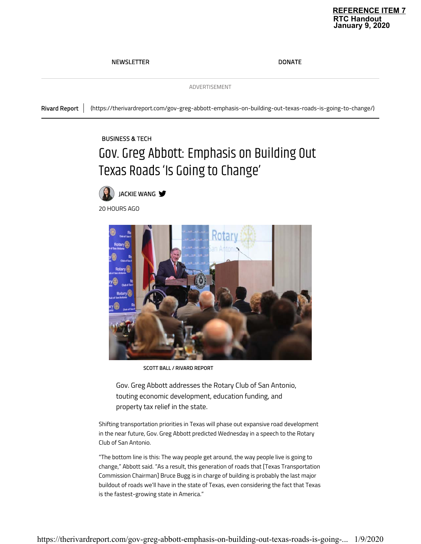### **REFERENCE ITEM 7**<br>RTC Handout **RTC Handout January 9, 2020**

#### NEWSLETTER DONATE

ADVERTISEMENT

Rivard Report (https://therivardreport.com/gov-greg-abbott-emphasis-on-building-out-texas-roads-is-going-to-change/)

#### BUSINESS & TECH

# Gov. Greg Abbott: Emphasis on Building Out Texas Roads 'Is Going to Change'



20 HOURS AGO



SCOTT BALL / RIVARD REPORT

Gov. Greg Abbott addresses the Rotary Club of San Antonio, touting economic development, education funding, and property tax relief in the state.

Shifting transportation priorities in Texas will phase out expansive road development in the near future, Gov. Greg Abbott predicted Wednesday in a speech to the Rotary Club of San Antonio.

"The bottom line is this: The way people get around, the way people live is going to change," Abbott said. "As a result, this generation of roads that [Texas Transportation Commission Chairman] Bruce Bugg is in charge of building is probably the last major buildout of roads we'll have in the state of Texas, even considering the fact that Texas is the fastest-growing state in America."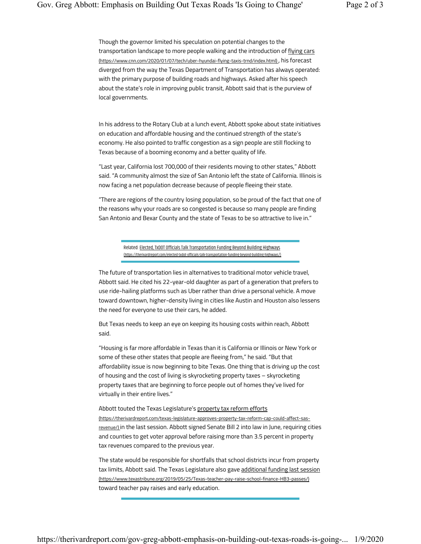Though the governor limited his speculation on potential changes to the transportation landscape to more people walking and the introduction of flying cars (https://www.cnn.com/2020/01/07/tech/uber-hyundai-flying-taxis-trnd/index.html) , his forecast diverged from the way the Texas Department of Transportation has always operated: with the primary purpose of building roads and highways. Asked after his speech about the state's role in improving public transit, Abbott said that is the purview of local governments.

In his address to the Rotary Club at a lunch event, Abbott spoke about state initiatives on education and affordable housing and the continued strength of the state's economy. He also pointed to traffic congestion as a sign people are still flocking to Texas because of a booming economy and a better quality of life.

"Last year, California lost 700,000 of their residents moving to other states," Abbott said. "A community almost the size of San Antonio left the state of California. Illinois is now facing a net population decrease because of people fleeing their state.

"There are regions of the country losing population, so be proud of the fact that one of the reasons why your roads are so congested is because so many people are finding San Antonio and Bexar County and the state of Texas to be so attractive to live in."

> Related: Elected, TxDOT Officials Talk Transportation Funding Beyond Building Highways (https://therivardreport.com/elected-txdot-officials-talk-transportation-funding-beyond-building-highways/)

The future of transportation lies in alternatives to traditional motor vehicle travel, Abbott said. He cited his 22-year-old daughter as part of a generation that prefers to use ride-hailing platforms such as Uber rather than drive a personal vehicle. A move toward downtown, higher-density living in cities like Austin and Houston also lessens the need for everyone to use their cars, he added.

But Texas needs to keep an eye on keeping its housing costs within reach, Abbott said.

"Housing is far more affordable in Texas than it is California or Illinois or New York or some of these other states that people are fleeing from," he said. "But that affordability issue is now beginning to bite Texas. One thing that is driving up the cost of housing and the cost of living is skyrocketing property taxes – skyrocketing property taxes that are beginning to force people out of homes they've lived for virtually in their entire lives."

Abbott touted the Texas Legislature's property tax reform efforts

(https://therivardreport.com/texas-legislature-approves-property-tax-reform-cap-could-affect-sasrevenue/) in the last session. Abbott signed Senate Bill 2 into law in June, requiring cities and counties to get voter approval before raising more than 3.5 percent in property tax revenues compared to the previous year.

The state would be responsible for shortfalls that school districts incur from property tax limits, Abbott said. The Texas Legislature also gave additional funding last session (https://www.texastribune.org/2019/05/25/Texas-teacher-pay-raise-school-finance-HB3-passes/) toward teacher pay raises and early education.